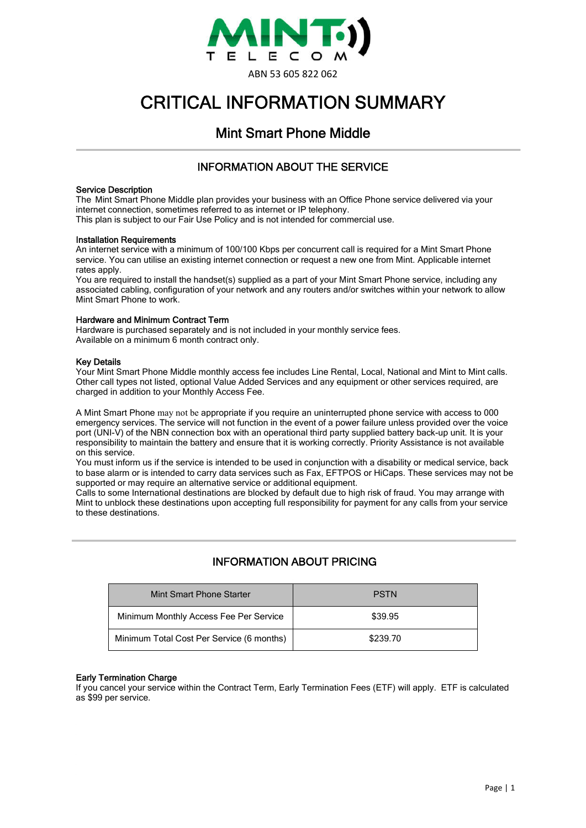

# CRITICAL INFORMATION SUMMARY

# Mint Smart Phone Middle

## INFORMATION ABOUT THE SERVICE

#### Service Description

The Mint Smart Phone Middle plan provides your business with an Office Phone service delivered via your internet connection, sometimes referred to as internet or IP telephony.

This plan is subject to our Fair Use Policy and is not intended for commercial use.

#### Installation Requirements

An internet service with a minimum of 100/100 Kbps per concurrent call is required for a Mint Smart Phone service. You can utilise an existing internet connection or request a new one from Mint. Applicable internet rates apply.

You are required to install the handset(s) supplied as a part of your Mint Smart Phone service, including any associated cabling, configuration of your network and any routers and/or switches within your network to allow Mint Smart Phone to work.

#### Hardware and Minimum Contract Term

Hardware is purchased separately and is not included in your monthly service fees. Available on a minimum 6 month contract only.

#### Key Details

Your Mint Smart Phone Middle monthly access fee includes Line Rental, Local, National and Mint to Mint calls. Other call types not listed, optional Value Added Services and any equipment or other services required, are charged in addition to your Monthly Access Fee.

A Mint Smart Phone may not be appropriate if you require an uninterrupted phone service with access to 000 emergency services. The service will not function in the event of a power failure unless provided over the voice port (UNI-V) of the NBN connection box with an operational third party supplied battery back-up unit. It is your responsibility to maintain the battery and ensure that it is working correctly. Priority Assistance is not available on this service.

You must inform us if the service is intended to be used in conjunction with a disability or medical service, back to base alarm or is intended to carry data services such as Fax, EFTPOS or HiCaps. These services may not be supported or may require an alternative service or additional equipment.

Calls to some International destinations are blocked by default due to high risk of fraud. You may arrange with Mint to unblock these destinations upon accepting full responsibility for payment for any calls from your service to these destinations.

# INFORMATION ABOUT PRICING

| Mint Smart Phone Starter                  | <b>PSTN</b> |
|-------------------------------------------|-------------|
| Minimum Monthly Access Fee Per Service    | \$39.95     |
| Minimum Total Cost Per Service (6 months) | \$239.70    |

#### Early Termination Charge

If you cancel your service within the Contract Term, Early Termination Fees (ETF) will apply. ETF is calculated as \$99 per service.